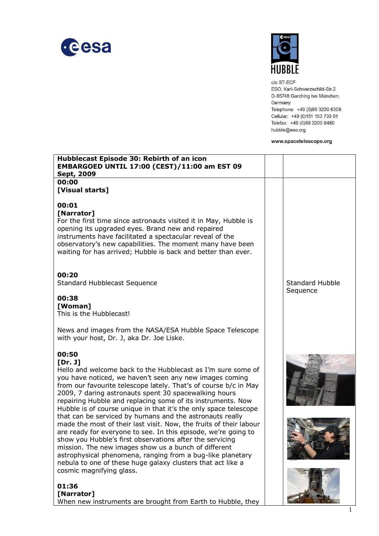



c/o ST-ECF ESO, Karl-Schwarzschild-Str.2 D-85748 Garching bei München, Germany Telephone: +49 (0)89 3200 6306 Cellular: +49 (0)151 153 735 91 Telefax: +49 (0)89 3200 6480 hubble@eso.org

www.spacetelescope.org

| Hubblecast Episode 30: Rebirth of an icon<br>EMBARGOED UNTIL 17:00 (CEST)/11:00 am EST 09<br>Sept, 2009                                                                                                                                                                                                                                                                                                                                                                       |                                    |
|-------------------------------------------------------------------------------------------------------------------------------------------------------------------------------------------------------------------------------------------------------------------------------------------------------------------------------------------------------------------------------------------------------------------------------------------------------------------------------|------------------------------------|
| 00:00                                                                                                                                                                                                                                                                                                                                                                                                                                                                         |                                    |
| [Visual starts]                                                                                                                                                                                                                                                                                                                                                                                                                                                               |                                    |
| 00:01<br>[Narrator]<br>For the first time since astronauts visited it in May, Hubble is<br>opening its upgraded eyes. Brand new and repaired<br>instruments have facilitated a spectacular reveal of the<br>observatory's new capabilities. The moment many have been<br>waiting for has arrived; Hubble is back and better than ever.                                                                                                                                        |                                    |
| 00:20<br><b>Standard Hubblecast Sequence</b>                                                                                                                                                                                                                                                                                                                                                                                                                                  | <b>Standard Hubble</b><br>Sequence |
| 00:38<br>[Woman]<br>This is the Hubblecast!                                                                                                                                                                                                                                                                                                                                                                                                                                   |                                    |
| News and images from the NASA/ESA Hubble Space Telescope<br>with your host, Dr. J, aka Dr. Joe Liske.                                                                                                                                                                                                                                                                                                                                                                         |                                    |
| 00:50<br>[Dr. J]<br>Hello and welcome back to the Hubblecast as I'm sure some of<br>you have noticed, we haven't seen any new images coming<br>from our favourite telescope lately. That's of course b/c in May<br>2009, 7 daring astronauts spent 30 spacewalking hours<br>repairing Hubble and replacing some of its instruments. Now<br>Hubble is of course unique in that it's the only space telescope                                                                   |                                    |
| that can be serviced by humans and the astronauts really<br>made the most of their last visit. Now, the fruits of their labour<br>are ready for everyone to see. In this episode, we're going to<br>show you Hubble's first observations after the servicing<br>mission. The new images show us a bunch of different<br>astrophysical phenomena, ranging from a bug-like planetary<br>nebula to one of these huge galaxy clusters that act like a<br>cosmic magnifying glass. |                                    |
| 01:36                                                                                                                                                                                                                                                                                                                                                                                                                                                                         |                                    |

**[Narrator]** When new instruments are brought from Earth to Hubble, they

The River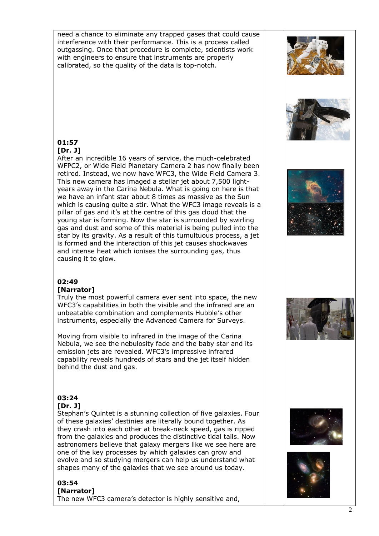need a chance to eliminate any trapped gases that could cause interference with their performance. This is a process called outgassing. Once that procedure is complete, scientists work with engineers to ensure that instruments are properly calibrated, so the quality of the data is top-notch.





#### **01:57 [Dr. J]**

After an incredible 16 years of service, the much-celebrated WFPC2, or Wide Field Planetary Camera 2 has now finally been retired. Instead, we now have WFC3, the Wide Field Camera 3. This new camera has imaged a stellar jet about 7,500 lightyears away in the Carina Nebula. What is going on here is that we have an infant star about 8 times as massive as the Sun which is causing quite a stir. What the WFC3 image reveals is a pillar of gas and it's at the centre of this gas cloud that the young star is forming. Now the star is surrounded by swirling gas and dust and some of this material is being pulled into the star by its gravity. As a result of this tumultuous process, a jet is formed and the interaction of this jet causes shockwaves and intense heat which ionises the surrounding gas, thus causing it to glow.

# **02:49**

### **[Narrator]**

Truly the most powerful camera ever sent into space, the new WFC3's capabilities in both the visible and the infrared are an unbeatable combination and complements Hubble's other instruments, especially the Advanced Camera for Surveys.

Moving from visible to infrared in the image of the Carina Nebula, we see the nebulosity fade and the baby star and its emission jets are revealed. WFC3's impressive infrared capability reveals hundreds of stars and the jet itself hidden behind the dust and gas.

#### **03:24 [Dr. J]**

Stephan's Quintet is a stunning collection of five galaxies. Four of these galaxies' destinies are literally bound together. As they crash into each other at break-neck speed, gas is ripped from the galaxies and produces the distinctive tidal tails. Now astronomers believe that galaxy mergers like we see here are one of the key processes by which galaxies can grow and evolve and so studying mergers can help us understand what shapes many of the galaxies that we see around us today.

#### **03:54 [Narrator]** The new WFC3 camera's detector is highly sensitive and,







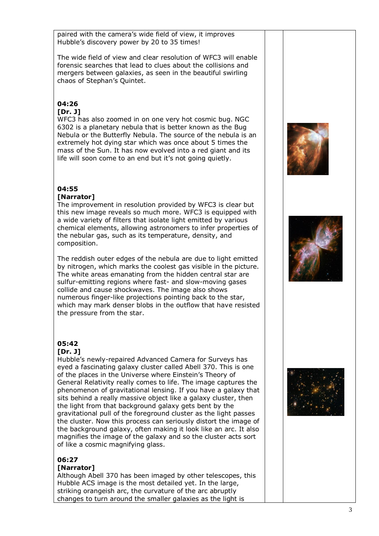paired with the camera's wide field of view, it improves Hubble's discovery power by 20 to 35 times!

The wide field of view and clear resolution of WFC3 will enable forensic searches that lead to clues about the collisions and mergers between galaxies, as seen in the beautiful swirling chaos of Stephan's Quintet.

#### **04:26 [Dr. J]**

WFC3 has also zoomed in on one very hot cosmic bug. NGC 6302 is a planetary nebula that is better known as the Bug Nebula or the Butterfly Nebula. The source of the nebula is an extremely hot dying star which was once about 5 times the mass of the Sun. It has now evolved into a red giant and its life will soon come to an end but it's not going quietly.

#### **04:55 [Narrator]**

The improvement in resolution provided by WFC3 is clear but this new image reveals so much more. WFC3 is equipped with a wide variety of filters that isolate light emitted by various chemical elements, allowing astronomers to infer properties of the nebular gas, such as its temperature, density, and composition.

The reddish outer edges of the nebula are due to light emitted by nitrogen, which marks the coolest gas visible in the picture. The white areas emanating from the hidden central star are sulfur-emitting regions where fast- and slow-moving gases collide and cause shockwaves. The image also shows numerous finger-like projections pointing back to the star, which may mark denser blobs in the outflow that have resisted the pressure from the star.

# **05:42**

### **[Dr. J]**

Hubble's newly-repaired Advanced Camera for Surveys has eyed a fascinating galaxy cluster called Abell 370. This is one of the places in the Universe where Einstein's Theory of General Relativity really comes to life. The image captures the phenomenon of gravitational lensing. If you have a galaxy that sits behind a really massive object like a galaxy cluster, then the light from that background galaxy gets bent by the gravitational pull of the foreground cluster as the light passes the cluster. Now this process can seriously distort the image of the background galaxy, often making it look like an arc. It also magnifies the image of the galaxy and so the cluster acts sort of like a cosmic magnifying glass.

### **06:27**

#### **[Narrator]**

Although Abell 370 has been imaged by other telescopes, this Hubble ACS image is the most detailed yet. In the large, striking orangeish arc, the curvature of the arc abruptly changes to turn around the smaller galaxies as the light is





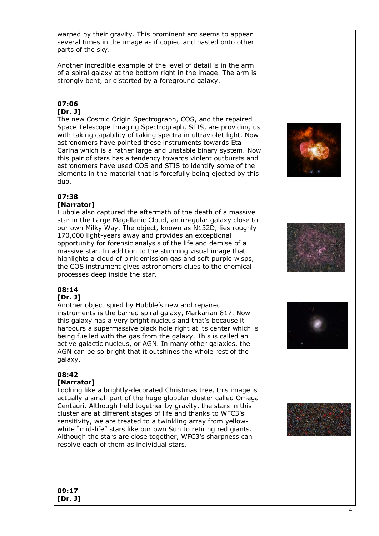warped by their gravity. This prominent arc seems to appear several times in the image as if copied and pasted onto other parts of the sky.

Another incredible example of the level of detail is in the arm of a spiral galaxy at the bottom right in the image. The arm is strongly bent, or distorted by a foreground galaxy.

# **07:06**

# **[Dr. J]**

The new Cosmic Origin Spectrograph, COS, and the repaired Space Telescope Imaging Spectrograph, STIS, are providing us with taking capability of taking spectra in ultraviolet light. Now astronomers have pointed these instruments towards Eta Carina which is a rather large and unstable binary system. Now this pair of stars has a tendency towards violent outbursts and astronomers have used COS and STIS to identify some of the elements in the material that is forcefully being ejected by this duo.

# **07:38**

# **[Narrator]**

Hubble also captured the aftermath of the death of a massive star in the Large Magellanic Cloud, an irregular galaxy close to our own Milky Way. The object, known as N132D, lies roughly 170,000 light-years away and provides an exceptional opportunity for forensic analysis of the life and demise of a massive star. In addition to the stunning visual image that highlights a cloud of pink emission gas and soft purple wisps, the COS instrument gives astronomers clues to the chemical processes deep inside the star.

# **08:14**

# **[Dr. J]**

Another object spied by Hubble's new and repaired instruments is the barred spiral galaxy, Markarian 817. Now this galaxy has a very bright nucleus and that's because it harbours a supermassive black hole right at its center which is being fuelled with the gas from the galaxy. This is called an active galactic nucleus, or AGN. In many other galaxies, the AGN can be so bright that it outshines the whole rest of the galaxy.

# **08:42**

# **[Narrator]**

Looking like a brightly-decorated Christmas tree, this image is actually a small part of the huge globular cluster called Omega Centauri. Although held together by gravity, the stars in this cluster are at different stages of life and thanks to WFC3's sensitivity, we are treated to a twinkling array from yellowwhite "mid-life" stars like our own Sun to retiring red giants. Although the stars are close together, WFC3's sharpness can resolve each of them as individual stars.









**09:17 [Dr. J]**